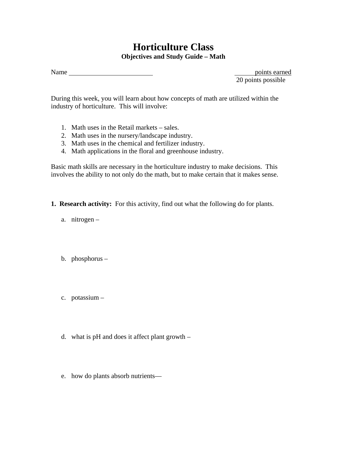# **Horticulture Class Objectives and Study Guide – Math**

Name points earned

20 points possible

During this week, you will learn about how concepts of math are utilized within the industry of horticulture. This will involve:

- 1. Math uses in the Retail markets sales.
- 2. Math uses in the nursery/landscape industry.
- 3. Math uses in the chemical and fertilizer industry.
- 4. Math applications in the floral and greenhouse industry.

Basic math skills are necessary in the horticulture industry to make decisions. This involves the ability to not only do the math, but to make certain that it makes sense.

- **1. Research activity:** For this activity, find out what the following do for plants.
	- a. nitrogen –
	- b. phosphorus –
	- c. potassium –
	- d. what is pH and does it affect plant growth –
	- e. how do plants absorb nutrients—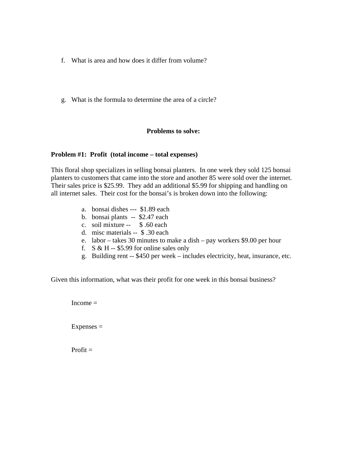- f. What is area and how does it differ from volume?
- g. What is the formula to determine the area of a circle?

# **Problems to solve:**

# **Problem #1: Profit (total income – total expenses)**

This floral shop specializes in selling bonsai planters. In one week they sold 125 bonsai planters to customers that came into the store and another 85 were sold over the internet. Their sales price is \$25.99. They add an additional \$5.99 for shipping and handling on all internet sales. Their cost for the bonsai's is broken down into the following:

- a. bonsai dishes --- \$1.89 each
- b. bonsai plants -- \$2.47 each
- c. soil mixture -- \$ .60 each
- d. misc materials -- \$ .30 each
- e. labor takes 30 minutes to make a dish pay workers \$9.00 per hour
- f.  $S & H $5.99$  for online sales only
- g. Building rent -- \$450 per week includes electricity, heat, insurance, etc.

Given this information, what was their profit for one week in this bonsai business?

 $Income =$ 

 $Expenses =$ 

 $Profit =$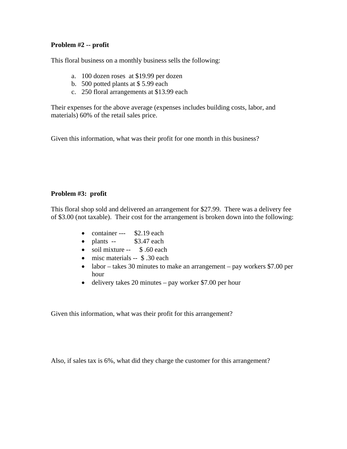# **Problem #2 -- profit**

This floral business on a monthly business sells the following:

- a. 100 dozen roses at \$19.99 per dozen
- b. 500 potted plants at \$ 5.99 each
- c. 250 floral arrangements at \$13.99 each

Their expenses for the above average (expenses includes building costs, labor, and materials) 60% of the retail sales price.

Given this information, what was their profit for one month in this business?

# **Problem #3: profit**

This floral shop sold and delivered an arrangement for \$27.99. There was a delivery fee of \$3.00 (not taxable). Their cost for the arrangement is broken down into the following:

- container  $--$  \$2.19 each
- $\bullet$  plants -- \$3.47 each
- soil mixture -- \$.60 each
- misc materials -- \$ .30 each
- labor takes 30 minutes to make an arrangement pay workers \$7.00 per hour
- delivery takes 20 minutes pay worker \$7.00 per hour

Given this information, what was their profit for this arrangement?

Also, if sales tax is 6%, what did they charge the customer for this arrangement?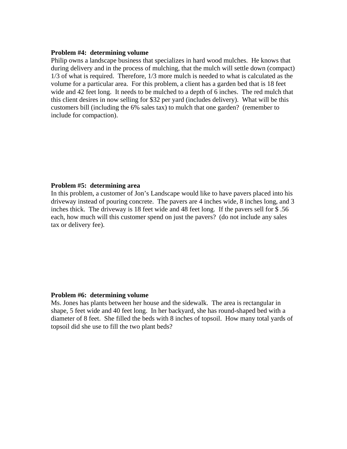## **Problem #4: determining volume**

Philip owns a landscape business that specializes in hard wood mulches. He knows that during delivery and in the process of mulching, that the mulch will settle down (compact) 1/3 of what is required. Therefore, 1/3 more mulch is needed to what is calculated as the volume for a particular area. For this problem, a client has a garden bed that is 18 feet wide and 42 feet long. It needs to be mulched to a depth of 6 inches. The red mulch that this client desires in now selling for \$32 per yard (includes delivery). What will be this customers bill (including the 6% sales tax) to mulch that one garden? (remember to include for compaction).

#### **Problem #5: determining area**

In this problem, a customer of Jon's Landscape would like to have pavers placed into his driveway instead of pouring concrete. The pavers are 4 inches wide, 8 inches long, and 3 inches thick. The driveway is 18 feet wide and 48 feet long. If the pavers sell for \$ .56 each, how much will this customer spend on just the pavers? (do not include any sales tax or delivery fee).

## **Problem #6: determining volume**

Ms. Jones has plants between her house and the sidewalk. The area is rectangular in shape, 5 feet wide and 40 feet long. In her backyard, she has round-shaped bed with a diameter of 8 feet. She filled the beds with 8 inches of topsoil. How many total yards of topsoil did she use to fill the two plant beds?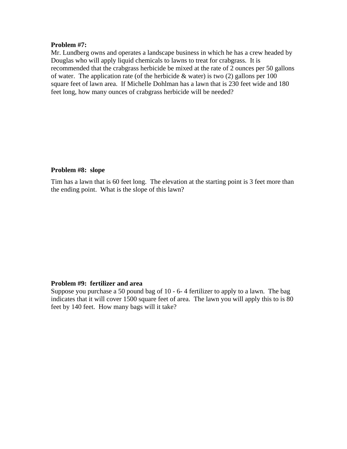# **Problem #7:**

Mr. Lundberg owns and operates a landscape business in which he has a crew headed by Douglas who will apply liquid chemicals to lawns to treat for crabgrass. It is recommended that the crabgrass herbicide be mixed at the rate of 2 ounces per 50 gallons of water. The application rate (of the herbicide  $\&$  water) is two (2) gallons per 100 square feet of lawn area. If Michelle Dohlman has a lawn that is 230 feet wide and 180 feet long, how many ounces of crabgrass herbicide will be needed?

# **Problem #8: slope**

Tim has a lawn that is 60 feet long. The elevation at the starting point is 3 feet more than the ending point. What is the slope of this lawn?

# **Problem #9: fertilizer and area**

Suppose you purchase a 50 pound bag of 10 - 6- 4 fertilizer to apply to a lawn. The bag indicates that it will cover 1500 square feet of area. The lawn you will apply this to is 80 feet by 140 feet. How many bags will it take?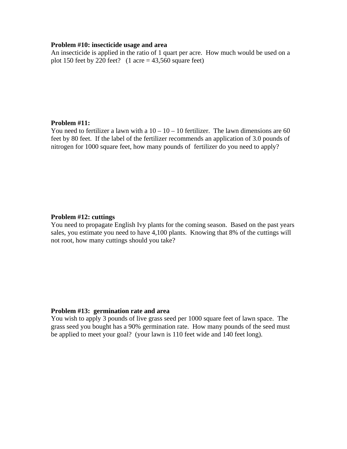## **Problem #10: insecticide usage and area**

An insecticide is applied in the ratio of 1 quart per acre. How much would be used on a plot 150 feet by 220 feet?  $(1 \text{ acre} = 43,560 \text{ square feet})$ 

## **Problem #11:**

You need to fertilizer a lawn with a  $10 - 10 - 10$  fertilizer. The lawn dimensions are 60 feet by 80 feet. If the label of the fertilizer recommends an application of 3.0 pounds of nitrogen for 1000 square feet, how many pounds of fertilizer do you need to apply?

### **Problem #12: cuttings**

You need to propagate English Ivy plants for the coming season. Based on the past years sales, you estimate you need to have 4,100 plants. Knowing that 8% of the cuttings will not root, how many cuttings should you take?

### **Problem #13: germination rate and area**

You wish to apply 3 pounds of live grass seed per 1000 square feet of lawn space. The grass seed you bought has a 90% germination rate. How many pounds of the seed must be applied to meet your goal? (your lawn is 110 feet wide and 140 feet long).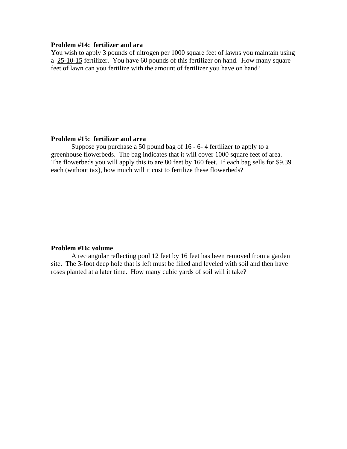# **Problem #14: fertilizer and ara**

You wish to apply 3 pounds of nitrogen per 1000 square feet of lawns you maintain using a 25-10-15 fertilizer. You have 60 pounds of this fertilizer on hand. How many square feet of lawn can you fertilize with the amount of fertilizer you have on hand?

## **Problem #15: fertilizer and area**

 Suppose you purchase a 50 pound bag of 16 - 6- 4 fertilizer to apply to a greenhouse flowerbeds. The bag indicates that it will cover 1000 square feet of area. The flowerbeds you will apply this to are 80 feet by 160 feet. If each bag sells for \$9.39 each (without tax), how much will it cost to fertilize these flowerbeds?

## **Problem #16: volume**

 A rectangular reflecting pool 12 feet by 16 feet has been removed from a garden site. The 3-foot deep hole that is left must be filled and leveled with soil and then have roses planted at a later time. How many cubic yards of soil will it take?